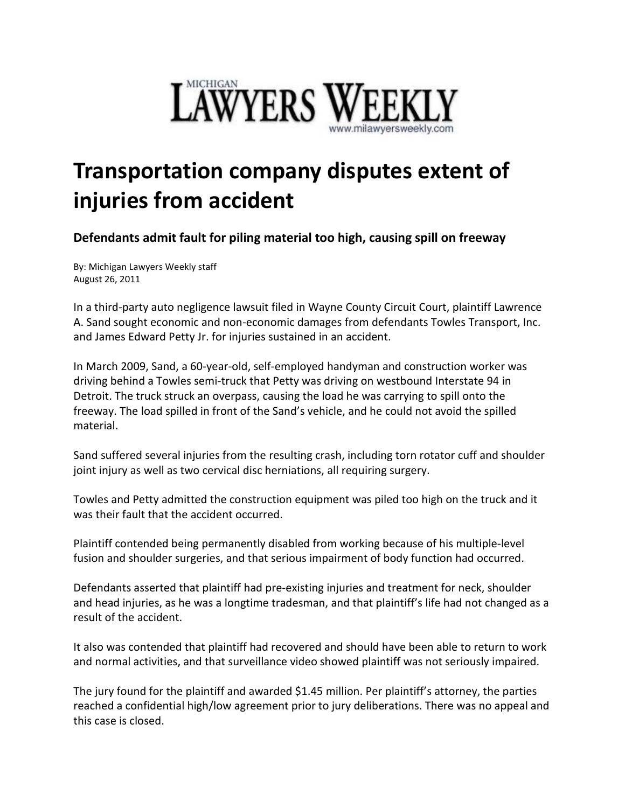

## **Transportation company disputes extent of injuries from accident**

**Defendants admit fault for piling material too high, causing spill on freeway**

By: Michigan Lawyers Weekly staff August 26, 2011

In a third-party auto negligence lawsuit filed in Wayne County Circuit Court, plaintiff Lawrence A. Sand sought economic and non-economic damages from defendants Towles Transport, Inc. and James Edward Petty Jr. for injuries sustained in an accident.

In March 2009, Sand, a 60-year-old, self-employed handyman and construction worker was driving behind a Towles semi-truck that Petty was driving on westbound Interstate 94 in Detroit. The truck struck an overpass, causing the load he was carrying to spill onto the freeway. The load spilled in front of the Sand's vehicle, and he could not avoid the spilled material.

Sand suffered several injuries from the resulting crash, including torn rotator cuff and shoulder joint injury as well as two cervical disc herniations, all requiring surgery.

Towles and Petty admitted the construction equipment was piled too high on the truck and it was their fault that the accident occurred.

Plaintiff contended being permanently disabled from working because of his multiple-level fusion and shoulder surgeries, and that serious impairment of body function had occurred.

Defendants asserted that plaintiff had pre-existing injuries and treatment for neck, shoulder and head injuries, as he was a longtime tradesman, and that plaintiff's life had not changed as a result of the accident.

It also was contended that plaintiff had recovered and should have been able to return to work and normal activities, and that surveillance video showed plaintiff was not seriously impaired.

The jury found for the plaintiff and awarded \$1.45 million. Per plaintiff's attorney, the parties reached a confidential high/low agreement prior to jury deliberations. There was no appeal and this case is closed.